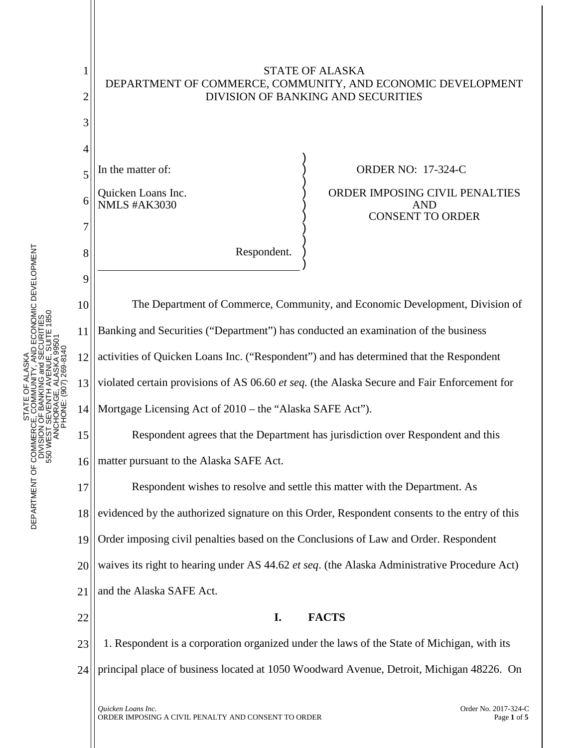

HCASAN<br>3 and SECURITIES<br>3 and SECURITIES<br>VENUE, SUITE 1850 DEPARTMENT OF COMMERCE, COMMUNITY, AND ECONOMIC DEVELOPMENT 550 WEST SEVENTH AVENUE, SUITE 1850 DIVISION OF BANKING and SECURITIES ANCHORAGE, ALASKA 99501 PHONE: (907) 269-8140 STATE OF ALASKA STATE<br>CE, COM<br>I OF BANK DEPARTMENT OF COMMERCE<br>DIVISION<br>S50 WEST S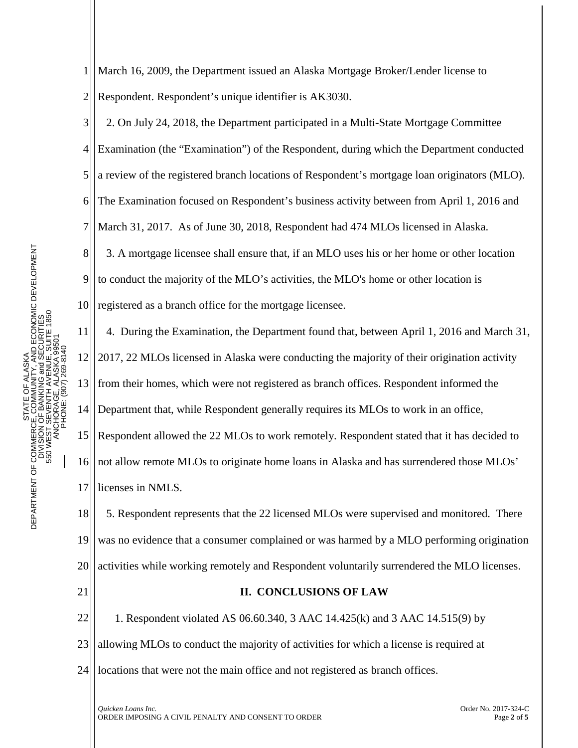1 2 March 16, 2009, the Department issued an Alaska Mortgage Broker/Lender license to Respondent. Respondent's unique identifier is AK3030.

3 4 5 6 7 8 9 10 2. On July 24, 2018, the Department participated in a Multi-State Mortgage Committee Examination (the "Examination") of the Respondent, during which the Department conducted a review of the registered branch locations of Respondent's mortgage loan originators (MLO). The Examination focused on Respondent's business activity between from April 1, 2016 and March 31, 2017. As of June 30, 2018, Respondent had 474 MLOs licensed in Alaska. 3. A mortgage licensee shall ensure that, if an MLO uses his or her home or other location to conduct the majority of the MLO's activities, the MLO's home or other location is registered as a branch office for the mortgage licensee.

11 12 13 14 15 16 4. During the Examination, the Department found that, between April 1, 2016 and March 31, 2017, 22 MLOs licensed in Alaska were conducting the majority of their origination activity from their homes, which were not registered as branch offices. Respondent informed the Department that, while Respondent generally requires its MLOs to work in an office, Respondent allowed the 22 MLOs to work remotely. Respondent stated that it has decided to not allow remote MLOs to originate home loans in Alaska and has surrendered those MLOs'

17 licenses in NMLS.

18 19 20 5. Respondent represents that the 22 licensed MLOs were supervised and monitored. There was no evidence that a consumer complained or was harmed by a MLO performing origination activities while working remotely and Respondent voluntarily surrendered the MLO licenses.

21

## **II. CONCLUSIONS OF LAW**

22 23 1. Respondent violated AS 06.60.340, 3 AAC 14.425(k) and 3 AAC 14.515(9) by allowing MLOs to conduct the majority of activities for which a license is required at

24 locations that were not the main office and not registered as branch offices.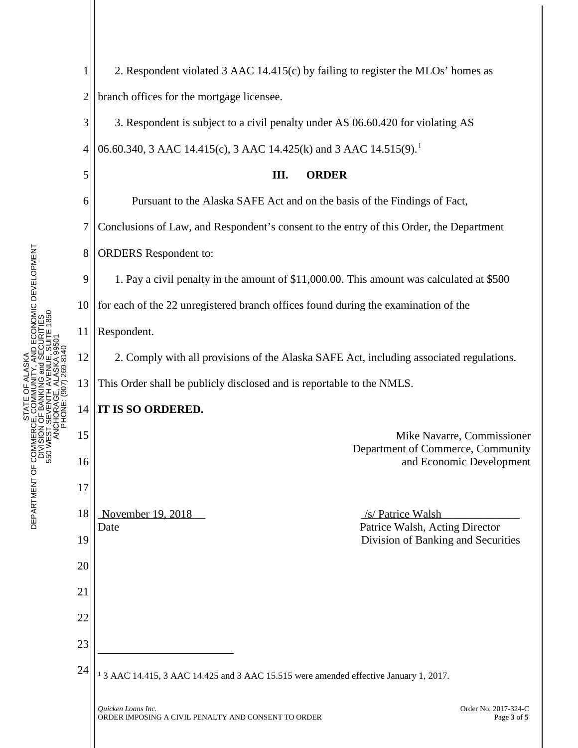*Quicken Loans Inc.* Order No. 2017-324-C PHONE: (907) 269-8140 1 2 3 4 5 6 7 8 9 10 11 12 13 14 15 16 17 18 19 20 21 22 23 24 November 19, 2018 2. Respondent violated 3 AAC 14.415(c) by failing to register the MLOs' homes as branch offices for the mortgage licensee. 3. Respondent is subject to a civil penalty under AS 06.60.420 for violating AS 06.60.340, 3 AAC [1](#page-2-0)4.415(c), 3 AAC 14.425(k) and 3 AAC 14.515(9).<sup>1</sup> **III. ORDER** Pursuant to the Alaska SAFE Act and on the basis of the Findings of Fact, Conclusions of Law, and Respondent's consent to the entry of this Order, the Department ORDERS Respondent to: 1. Pay a civil penalty in the amount of \$11,000.00. This amount was calculated at \$500 for each of the 22 unregistered branch offices found during the examination of the Respondent. 2. Comply with all provisions of the Alaska SAFE Act, including associated regulations. This Order shall be publicly disclosed and is reportable to the NMLS. **IT IS SO ORDERED.** Mike Navarre, Commissioner Department of Commerce, Community and Economic Development Date **Patrice Walsh, Acting Director** Division of Banking and Securities  $\overline{a}$ <sup>1</sup> 3 AAC 14.415, 3 AAC 14.425 and 3 AAC 15.515 were amended effective January 1, 2017.

<span id="page-2-0"></span>ORDER IMPOSING A CIVIL PENALTY AND CONSENT TO ORDERPage **<sup>3</sup>** of **<sup>5</sup>**

TY, AND ECONOMIC DEVELOPMENT<br>and SECURITIES<br>ENUE, SUITE 1850 DEPARTMENT OF COMMERCE, COMMUNITY, AND ECONOMIC DEVELOPMENT 550 WEST SEVENTH AVENUE, SUITE 1850 DIVISION OF BANKING and SECURITIES ANCHORAGE, ALASKA 99501 STATE OF ALASKA χ STATE<br>COMM<br>JOF BANK DEPARTMENT OF COMMERCI<br>DIVISION<br>550 WEST S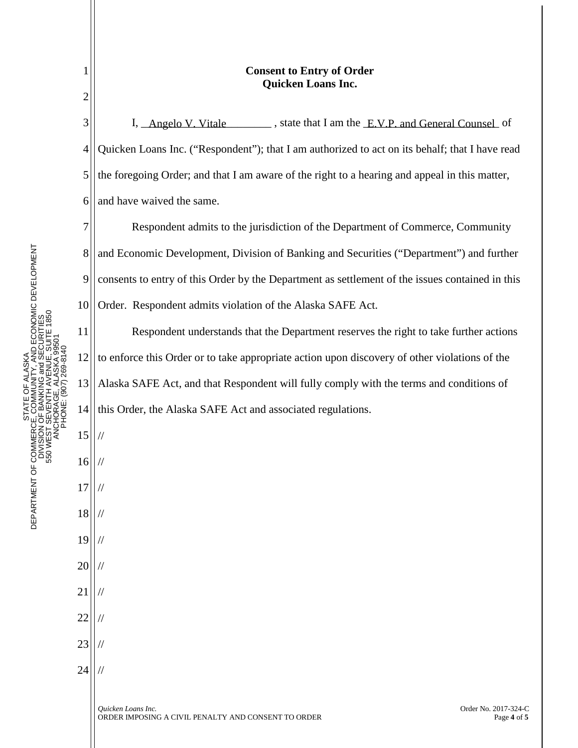| 1<br>$\overline{c}$ | <b>Consent to Entry of Order</b><br><b>Quicken Loans Inc.</b>                                                    |
|---------------------|------------------------------------------------------------------------------------------------------------------|
| 3                   | I, Angelo V. Vitale states, state that I am the E.V.P. and General Counsel of                                    |
| 4                   | Quicken Loans Inc. ("Respondent"); that I am authorized to act on its behalf; that I have read                   |
| 5                   | the foregoing Order; and that I am aware of the right to a hearing and appeal in this matter,                    |
| 6                   | and have waived the same.                                                                                        |
| 7                   | Respondent admits to the jurisdiction of the Department of Commerce, Community                                   |
| 8                   | and Economic Development, Division of Banking and Securities ("Department") and further                          |
| 9                   | consents to entry of this Order by the Department as settlement of the issues contained in this                  |
| 10                  | Order. Respondent admits violation of the Alaska SAFE Act.                                                       |
| 11                  | Respondent understands that the Department reserves the right to take further actions                            |
| 12                  | to enforce this Order or to take appropriate action upon discovery of other violations of the                    |
| 13                  | Alaska SAFE Act, and that Respondent will fully comply with the terms and conditions of                          |
| 14                  | this Order, the Alaska SAFE Act and associated regulations.                                                      |
| 15                  |                                                                                                                  |
| 16                  |                                                                                                                  |
| 17                  |                                                                                                                  |
| 18                  |                                                                                                                  |
| 19                  |                                                                                                                  |
| 20                  |                                                                                                                  |
| 21                  |                                                                                                                  |
| 22                  |                                                                                                                  |
| 23                  |                                                                                                                  |
| 24                  |                                                                                                                  |
|                     | Order No. 2017-324-C<br>Quicken Loans Inc.<br>ORDER IMPOSING A CIVIL PENALTY AND CONSENT TO ORDER<br>Page 4 of 5 |

STATE OF ALASKA<br>DEPARTMENT OF COMMERCE, COMMUNITY, AND ECONOMIC DEVELOPMENT<br>DIVISION OF BANKING and SECURITIES<br>550 WEST SEVENTH AVENUE, SUITE 1850<br>ANCHORAGE, ALASKA 99501 DEPARTMENT OF COMMERCE, COMMUNITY, AND ECONOMIC DEVELOPMENT 550 WEST SEVENTH AVENUE, SUITE 1850 DIVISION OF BANKING and SECURITIES ANCHORAGE, ALASKA 99501 PHONE: (907) 269-8140 STATE OF ALASKA